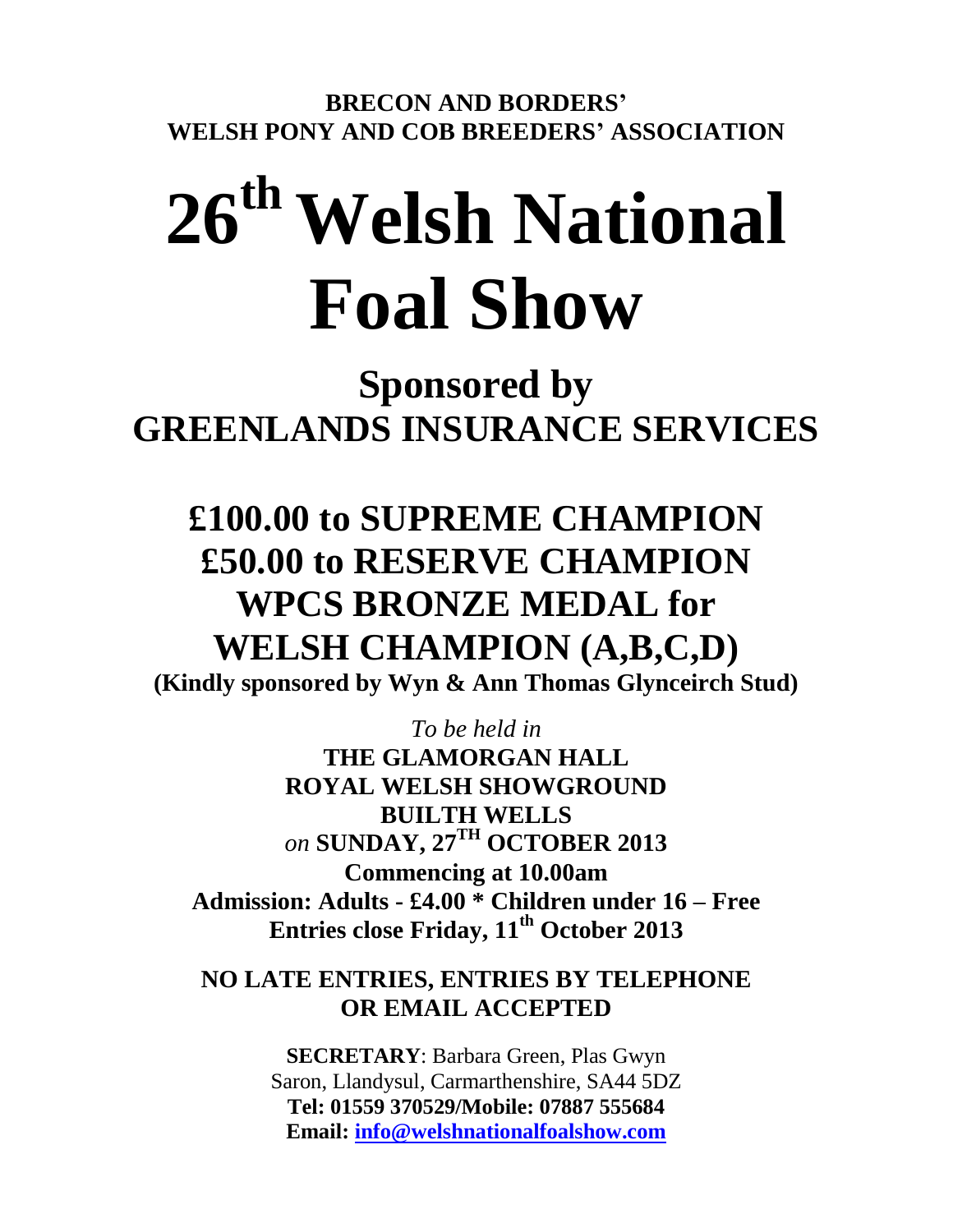**BRECON AND BORDERS' WELSH PONY AND COB BREEDERS' ASSOCIATION**

# **26th Welsh National Foal Show**

**Sponsored by GREENLANDS INSURANCE SERVICES**

## **£100.00 to SUPREME CHAMPION £50.00 to RESERVE CHAMPION WPCS BRONZE MEDAL for WELSH CHAMPION (A,B,C,D)**

**(Kindly sponsored by Wyn & Ann Thomas Glynceirch Stud)**

*To be held in* 

**THE GLAMORGAN HALL ROYAL WELSH SHOWGROUND BUILTH WELLS** *on* **SUNDAY, 27TH OCTOBER 2013 Commencing at 10.00am Admission: Adults - £4.00 \* Children under 16 – Free Entries close Friday, 11th October 2013**

## **NO LATE ENTRIES, ENTRIES BY TELEPHONE OR EMAIL ACCEPTED**

**SECRETARY**: Barbara Green, Plas Gwyn Saron, Llandysul, Carmarthenshire, SA44 5DZ **Tel: 01559 370529/Mobile: 07887 555684 Email: [info@welshnationalfoalshow.com](mailto:info@welshnationalfoalshow.com)**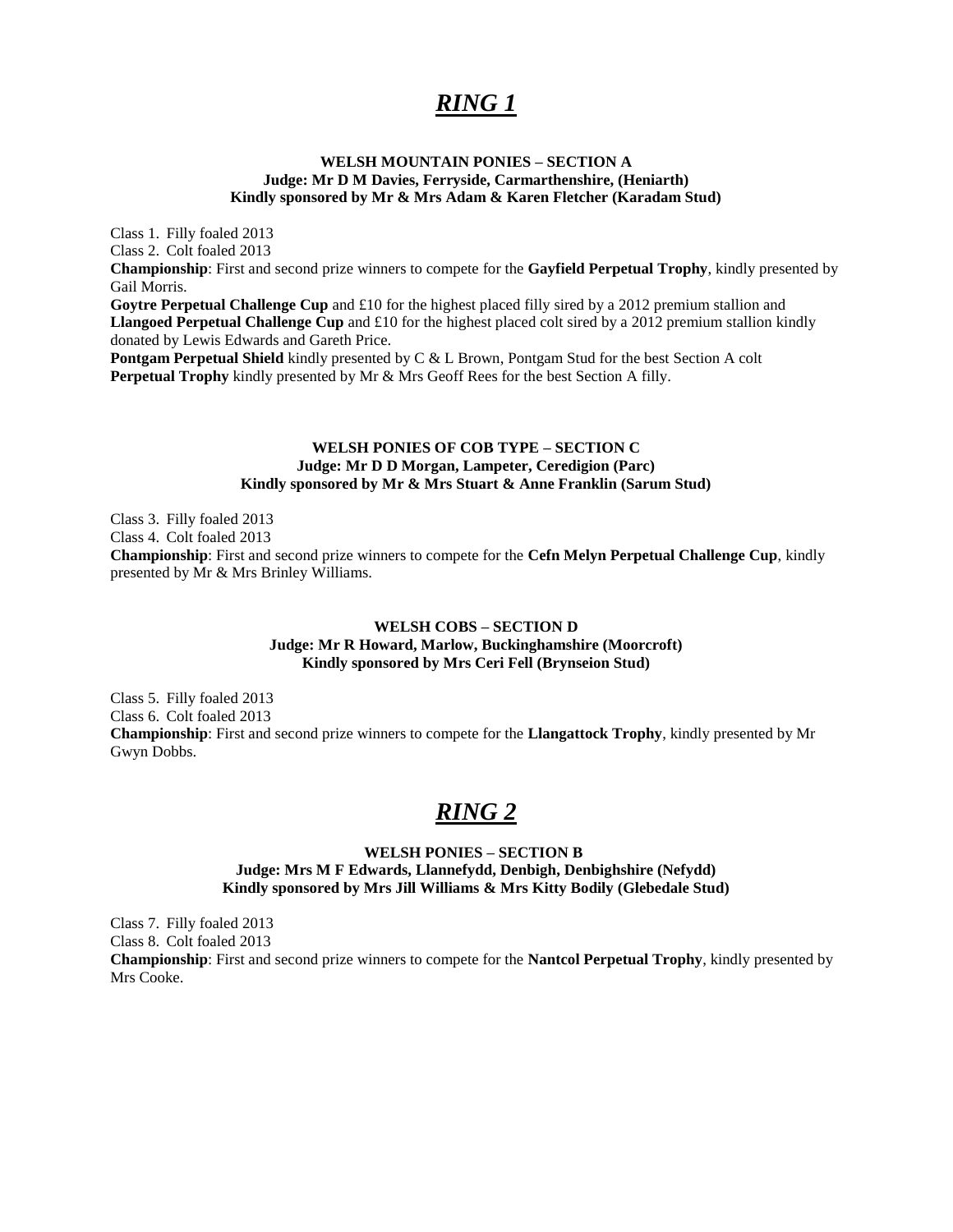## *RING 1*

#### **WELSH MOUNTAIN PONIES – SECTION A Judge: Mr D M Davies, Ferryside, Carmarthenshire, (Heniarth) Kindly sponsored by Mr & Mrs Adam & Karen Fletcher (Karadam Stud)**

Class 1. Filly foaled 2013 Class 2. Colt foaled 2013 **Championship**: First and second prize winners to compete for the **Gayfield Perpetual Trophy**, kindly presented by Gail Morris. **Goytre Perpetual Challenge Cup** and £10 for the highest placed filly sired by a 2012 premium stallion and **Llangoed Perpetual Challenge Cup** and £10 for the highest placed colt sired by a 2012 premium stallion kindly donated by Lewis Edwards and Gareth Price.

**Pontgam Perpetual Shield** kindly presented by C & L Brown, Pontgam Stud for the best Section A colt **Perpetual Trophy** kindly presented by Mr & Mrs Geoff Rees for the best Section A filly.

#### **WELSH PONIES OF COB TYPE – SECTION C Judge: Mr D D Morgan, Lampeter, Ceredigion (Parc) Kindly sponsored by Mr & Mrs Stuart & Anne Franklin (Sarum Stud)**

Class 3. Filly foaled 2013 Class 4. Colt foaled 2013 **Championship**: First and second prize winners to compete for the **Cefn Melyn Perpetual Challenge Cup**, kindly presented by Mr & Mrs Brinley Williams.

#### **WELSH COBS – SECTION D Judge: Mr R Howard, Marlow, Buckinghamshire (Moorcroft) Kindly sponsored by Mrs Ceri Fell (Brynseion Stud)**

Class 5. Filly foaled 2013 Class 6. Colt foaled 2013 **Championship**: First and second prize winners to compete for the **Llangattock Trophy**, kindly presented by Mr Gwyn Dobbs.

## *RING 2*

#### **WELSH PONIES – SECTION B Judge: Mrs M F Edwards, Llannefydd, Denbigh, Denbighshire (Nefydd) Kindly sponsored by Mrs Jill Williams & Mrs Kitty Bodily (Glebedale Stud)**

Class 7. Filly foaled 2013 Class 8. Colt foaled 2013 **Championship**: First and second prize winners to compete for the **Nantcol Perpetual Trophy**, kindly presented by Mrs Cooke.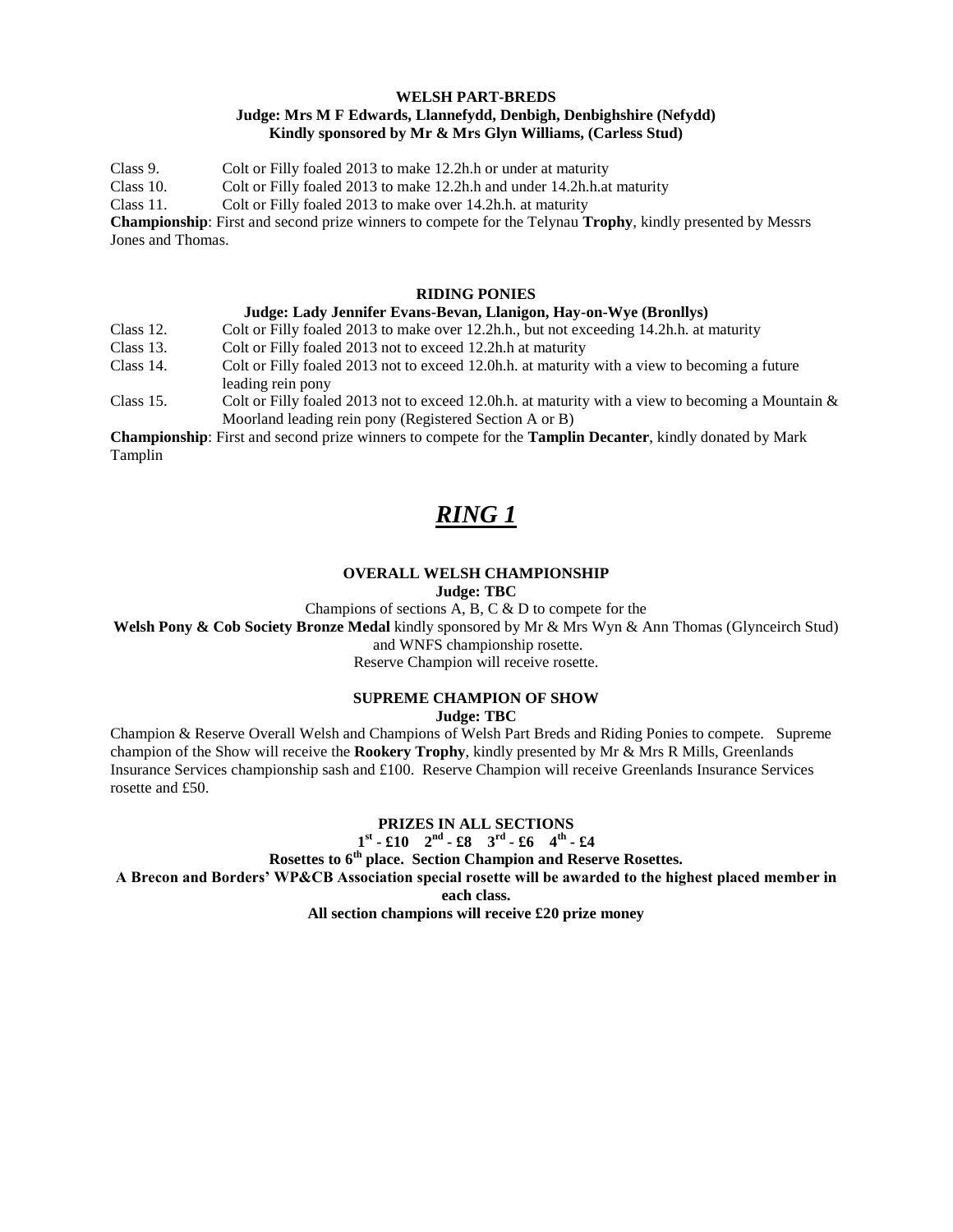#### **WELSH PART-BREDS Judge: Mrs M F Edwards, Llannefydd, Denbigh, Denbighshire (Nefydd) Kindly sponsored by Mr & Mrs Glyn Williams, (Carless Stud)**

Class 9. Colt or Filly foaled 2013 to make 12.2h.h or under at maturity Class 10. Colt or Filly foaled 2013 to make 12.2h.h and under 14.2h.h.at maturity Class 11. Colt or Filly foaled 2013 to make over 14.2h.h. at maturity **Championship**: First and second prize winners to compete for the Telynau **Trophy**, kindly presented by Messrs Jones and Thomas.

#### **RIDING PONIES**

#### **Judge: Lady Jennifer Evans-Bevan, Llanigon, Hay-on-Wye (Bronllys)**

Class 12. Colt or Filly foaled 2013 to make over 12.2h.h., but not exceeding 14.2h.h. at maturity

- Class 13. Colt or Filly foaled 2013 not to exceed 12.2h.h at maturity
- Class 14. Colt or Filly foaled 2013 not to exceed 12.0h.h. at maturity with a view to becoming a future leading rein pony
- Class 15. Colt or Filly foaled 2013 not to exceed 12.0h.h. at maturity with a view to becoming a Mountain & Moorland leading rein pony (Registered Section A or B)

**Championship**: First and second prize winners to compete for the **Tamplin Decanter**, kindly donated by Mark Tamplin

## *RING 1*

#### **OVERALL WELSH CHAMPIONSHIP Judge: TBC**

Champions of sections A, B, C & D to compete for the

**Welsh Pony & Cob Society Bronze Medal** kindly sponsored by Mr & Mrs Wyn & Ann Thomas (Glynceirch Stud)

and WNFS championship rosette.

Reserve Champion will receive rosette.

#### **SUPREME CHAMPION OF SHOW**

**Judge: TBC**

Champion & Reserve Overall Welsh and Champions of Welsh Part Breds and Riding Ponies to compete. Supreme champion of the Show will receive the **Rookery Trophy**, kindly presented by Mr & Mrs R Mills, Greenlands Insurance Services championship sash and £100. Reserve Champion will receive Greenlands Insurance Services rosette and £50.

#### **PRIZES IN ALL SECTIONS**

**1 st - £10 2nd - £8 3rd - £6 4th - £4**

**Rosettes to 6th place. Section Champion and Reserve Rosettes.**

**A Brecon and Borders' WP&CB Association special rosette will be awarded to the highest placed member in** 

**each class.**

**All section champions will receive £20 prize money**